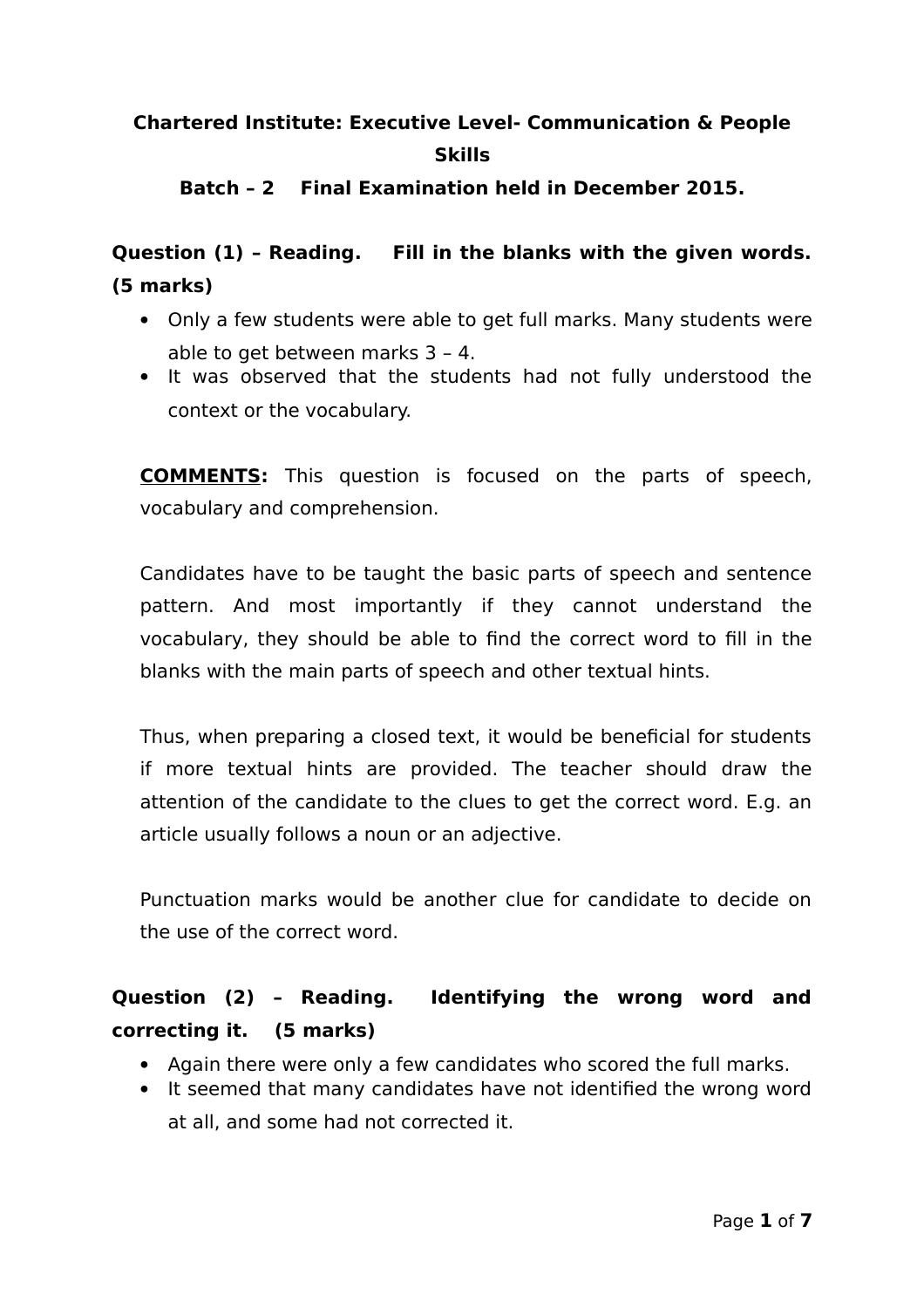# **Chartered Institute: Executive Level- Communication & People Skills**

### **Batch – 2 Final Examination held in December 2015.**

**Question (1) – Reading. Fill in the blanks with the given words. (5 marks)**

- Only a few students were able to get full marks. Many students were able to get between marks 3 – 4.
- It was observed that the students had not fully understood the context or the vocabulary.

**COMMENTS:** This question is focused on the parts of speech, vocabulary and comprehension.

Candidates have to be taught the basic parts of speech and sentence pattern. And most importantly if they cannot understand the vocabulary, they should be able to find the correct word to fill in the blanks with the main parts of speech and other textual hints.

Thus, when preparing a closed text, it would be beneficial for students if more textual hints are provided. The teacher should draw the attention of the candidate to the clues to get the correct word. E.g. an article usually follows a noun or an adjective.

Punctuation marks would be another clue for candidate to decide on the use of the correct word.

## **Question (2) – Reading. Identifying the wrong word and correcting it. (5 marks)**

- Again there were only a few candidates who scored the full marks.
- It seemed that many candidates have not identified the wrong word at all, and some had not corrected it.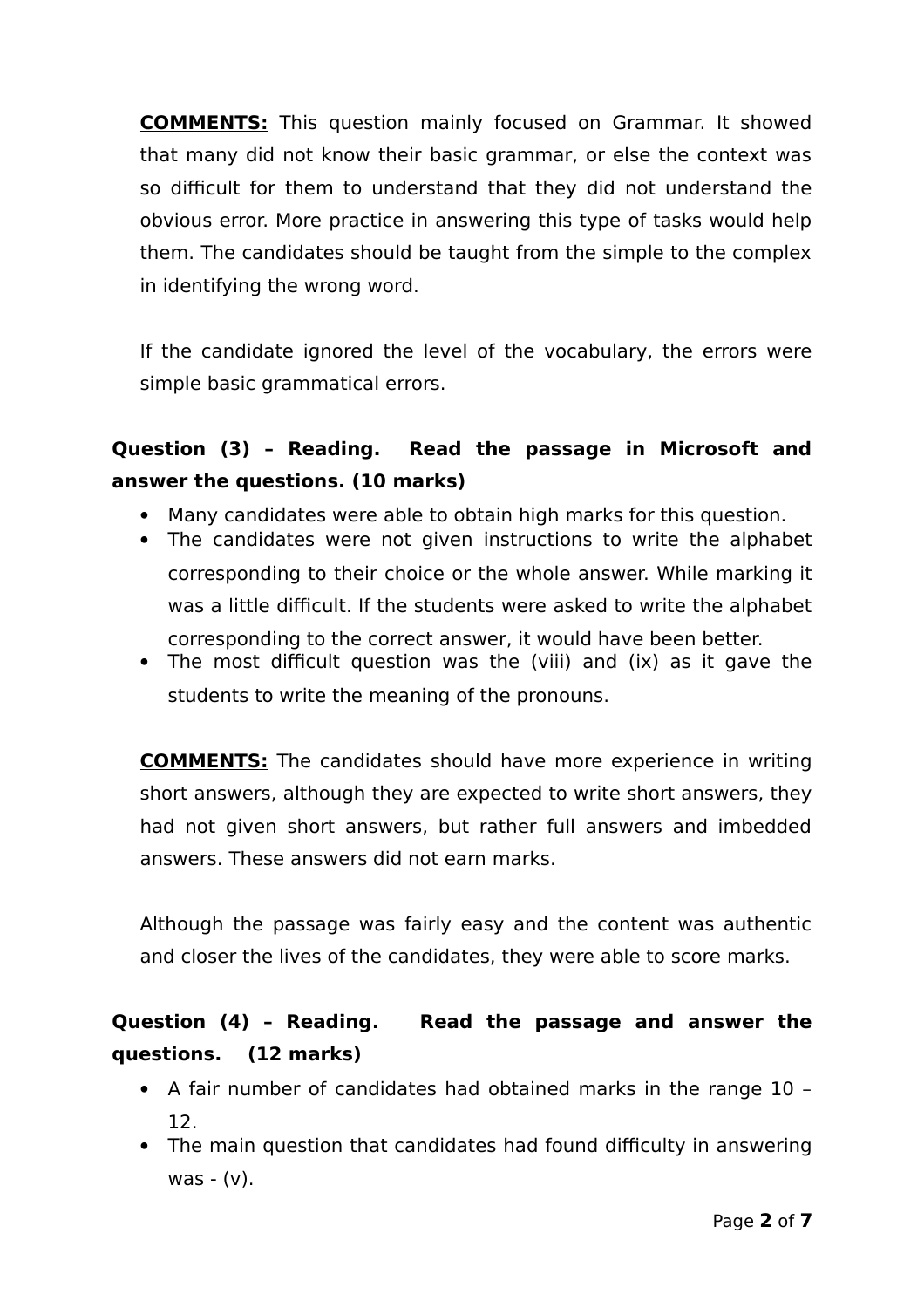**COMMENTS:** This question mainly focused on Grammar. It showed that many did not know their basic grammar, or else the context was so difficult for them to understand that they did not understand the obvious error. More practice in answering this type of tasks would help them. The candidates should be taught from the simple to the complex in identifying the wrong word.

If the candidate ignored the level of the vocabulary, the errors were simple basic grammatical errors.

## **Question (3) – Reading. Read the passage in Microsoft and answer the questions. (10 marks)**

- Many candidates were able to obtain high marks for this question.
- The candidates were not given instructions to write the alphabet corresponding to their choice or the whole answer. While marking it was a little difficult. If the students were asked to write the alphabet corresponding to the correct answer, it would have been better.
- The most difficult question was the (viii) and (ix) as it gave the students to write the meaning of the pronouns.

**COMMENTS:** The candidates should have more experience in writing short answers, although they are expected to write short answers, they had not given short answers, but rather full answers and imbedded answers. These answers did not earn marks.

Although the passage was fairly easy and the content was authentic and closer the lives of the candidates, they were able to score marks.

### **Question (4) – Reading. Read the passage and answer the questions. (12 marks)**

- A fair number of candidates had obtained marks in the range 10 12.
- The main question that candidates had found difficulty in answering was  $-(v)$ .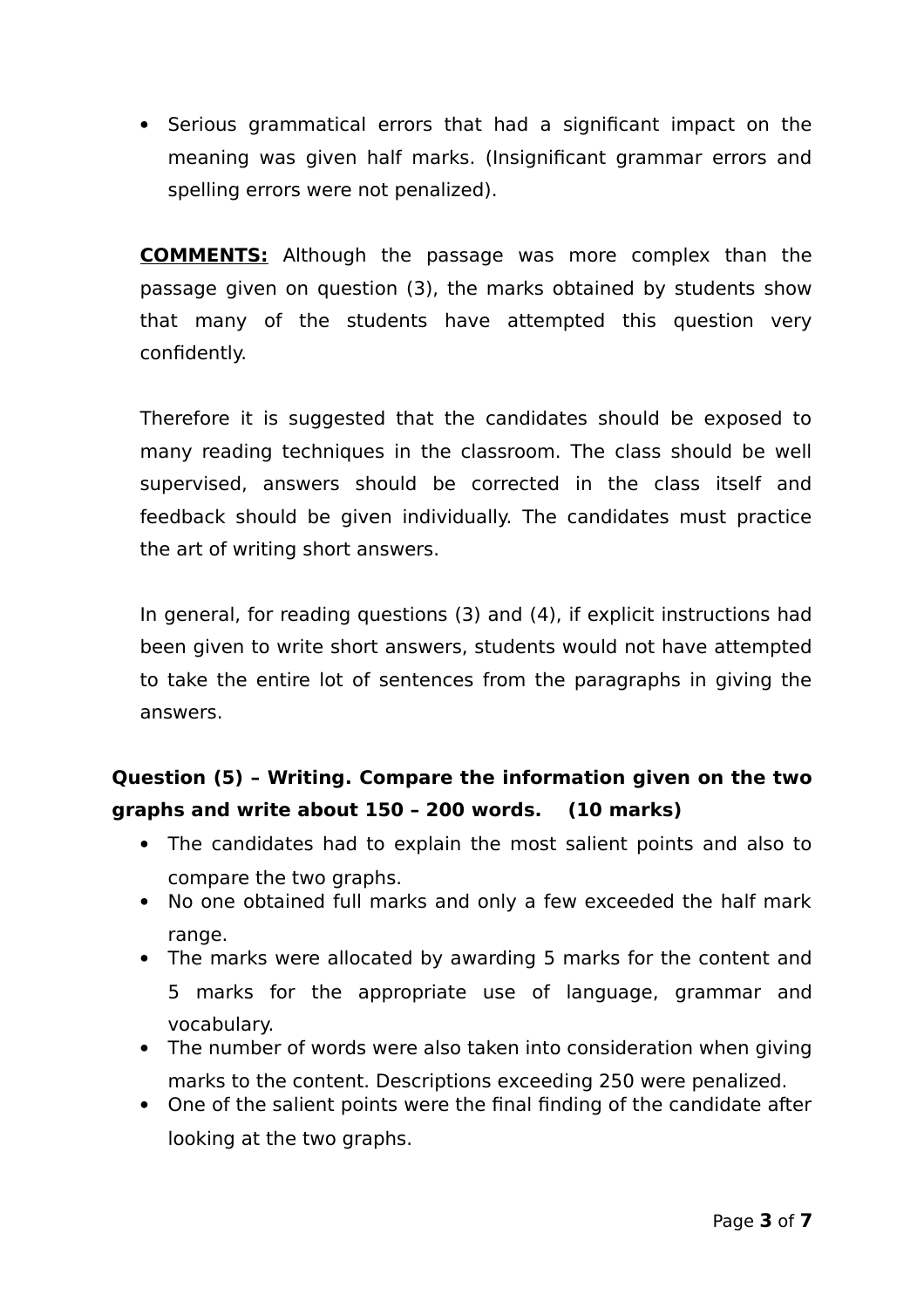Serious grammatical errors that had a significant impact on the meaning was given half marks. (Insignificant grammar errors and spelling errors were not penalized).

**COMMENTS:** Although the passage was more complex than the passage given on question (3), the marks obtained by students show that many of the students have attempted this question very confidently.

Therefore it is suggested that the candidates should be exposed to many reading techniques in the classroom. The class should be well supervised, answers should be corrected in the class itself and feedback should be given individually. The candidates must practice the art of writing short answers.

In general, for reading questions (3) and (4), if explicit instructions had been given to write short answers, students would not have attempted to take the entire lot of sentences from the paragraphs in giving the answers.

## **Question (5) – Writing. Compare the information given on the two graphs and write about 150 – 200 words. (10 marks)**

- The candidates had to explain the most salient points and also to compare the two graphs.
- No one obtained full marks and only a few exceeded the half mark range.
- The marks were allocated by awarding 5 marks for the content and 5 marks for the appropriate use of language, grammar and vocabulary.
- The number of words were also taken into consideration when giving marks to the content. Descriptions exceeding 250 were penalized.
- One of the salient points were the final finding of the candidate after looking at the two graphs.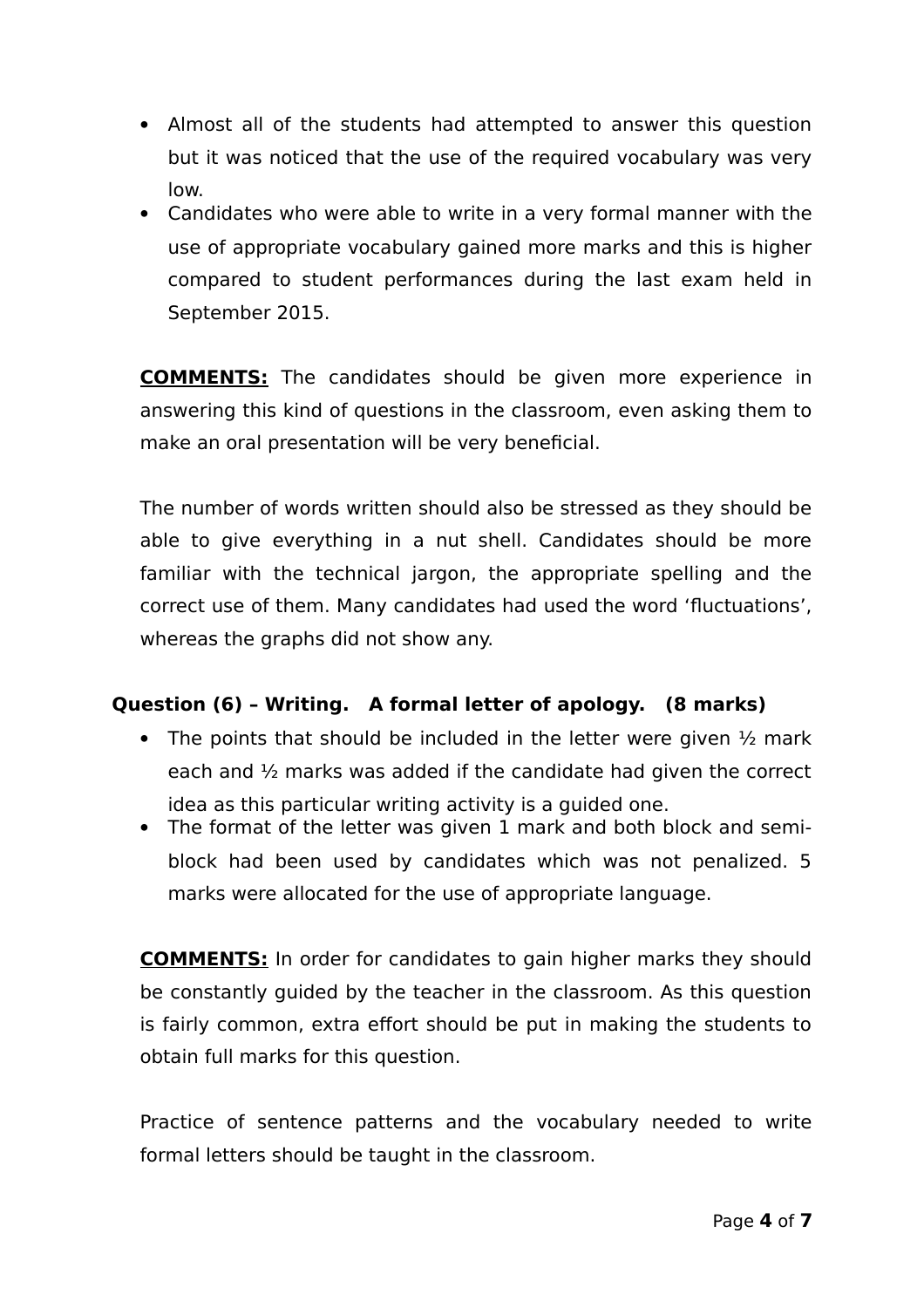- Almost all of the students had attempted to answer this question but it was noticed that the use of the required vocabulary was very low.
- Candidates who were able to write in a very formal manner with the use of appropriate vocabulary gained more marks and this is higher compared to student performances during the last exam held in September 2015.

**COMMENTS:** The candidates should be given more experience in answering this kind of questions in the classroom, even asking them to make an oral presentation will be very beneficial.

The number of words written should also be stressed as they should be able to give everything in a nut shell. Candidates should be more familiar with the technical jargon, the appropriate spelling and the correct use of them. Many candidates had used the word 'fluctuations', whereas the graphs did not show any.

### **Question (6) – Writing. A formal letter of apology. (8 marks)**

- The points that should be included in the letter were given  $\frac{1}{2}$  mark each and ½ marks was added if the candidate had given the correct idea as this particular writing activity is a guided one.
- The format of the letter was given 1 mark and both block and semiblock had been used by candidates which was not penalized. 5 marks were allocated for the use of appropriate language.

**COMMENTS:** In order for candidates to gain higher marks they should be constantly guided by the teacher in the classroom. As this question is fairly common, extra effort should be put in making the students to obtain full marks for this question.

Practice of sentence patterns and the vocabulary needed to write formal letters should be taught in the classroom.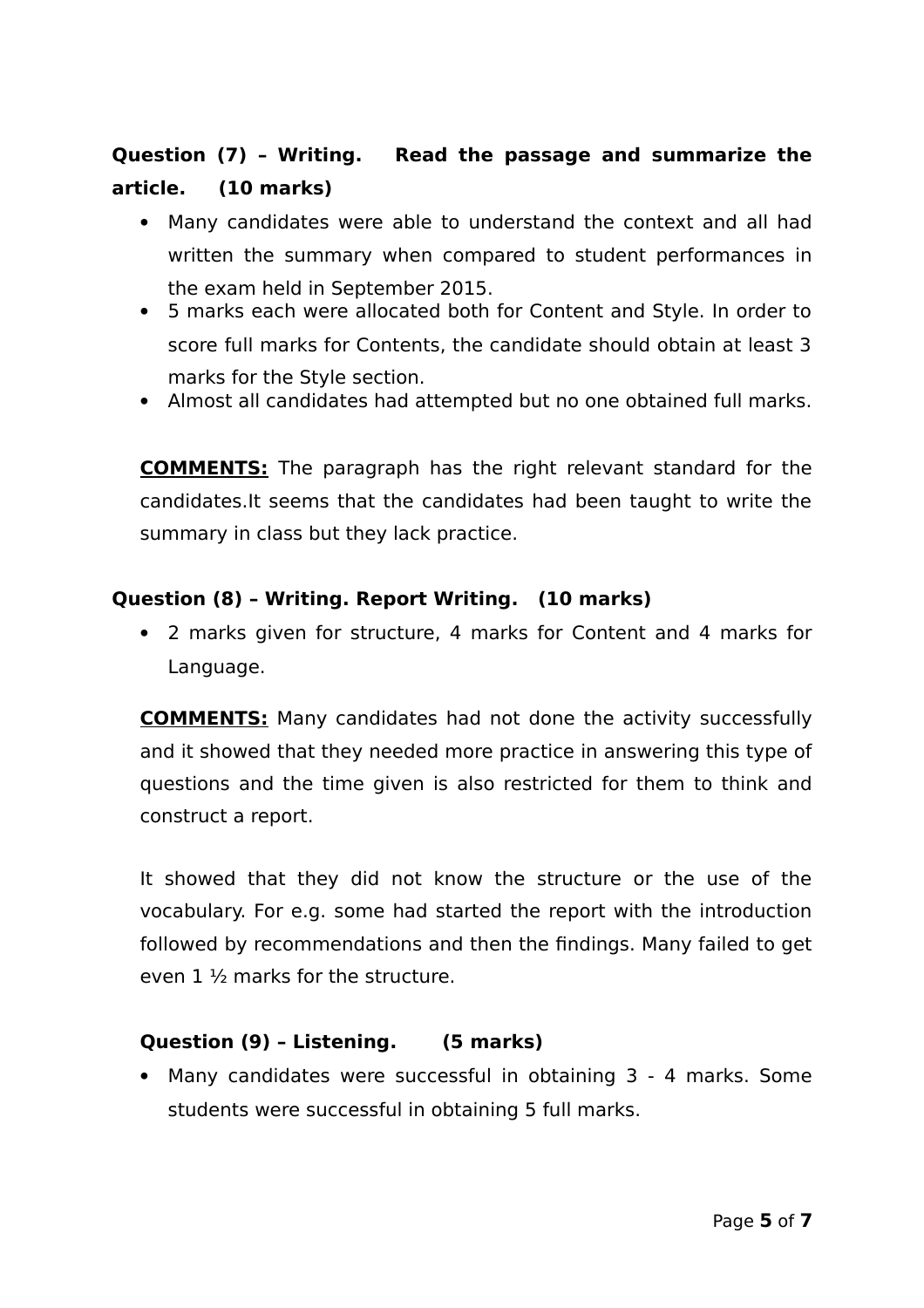## **Question (7) – Writing. Read the passage and summarize the article. (10 marks)**

- Many candidates were able to understand the context and all had written the summary when compared to student performances in the exam held in September 2015.
- 5 marks each were allocated both for Content and Style. In order to score full marks for Contents, the candidate should obtain at least 3 marks for the Style section.
- Almost all candidates had attempted but no one obtained full marks.

**COMMENTS:** The paragraph has the right relevant standard for the candidates.It seems that the candidates had been taught to write the summary in class but they lack practice.

#### **Question (8) – Writing. Report Writing. (10 marks)**

 2 marks given for structure, 4 marks for Content and 4 marks for Language.

**COMMENTS:** Many candidates had not done the activity successfully and it showed that they needed more practice in answering this type of questions and the time given is also restricted for them to think and construct a report.

It showed that they did not know the structure or the use of the vocabulary. For e.g. some had started the report with the introduction followed by recommendations and then the findings. Many failed to get even 1 ½ marks for the structure.

### **Question (9) – Listening. (5 marks)**

 Many candidates were successful in obtaining 3 - 4 marks. Some students were successful in obtaining 5 full marks.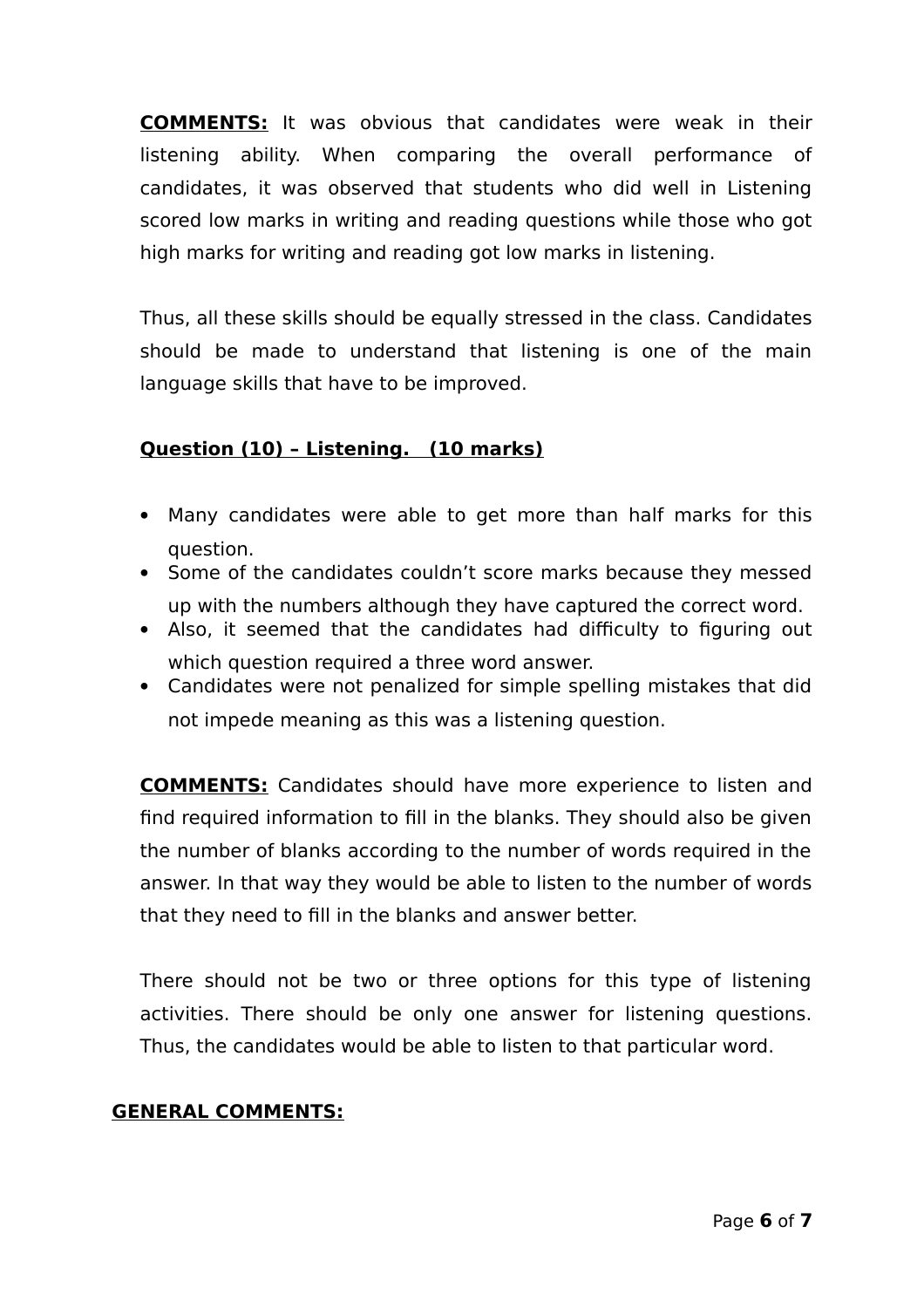**COMMENTS:** It was obvious that candidates were weak in their listening ability. When comparing the overall performance of candidates, it was observed that students who did well in Listening scored low marks in writing and reading questions while those who got high marks for writing and reading got low marks in listening.

Thus, all these skills should be equally stressed in the class. Candidates should be made to understand that listening is one of the main language skills that have to be improved.

### **Question (10) – Listening. (10 marks)**

- Many candidates were able to get more than half marks for this question.
- Some of the candidates couldn't score marks because they messed up with the numbers although they have captured the correct word.
- Also, it seemed that the candidates had difficulty to figuring out which question required a three word answer.
- Candidates were not penalized for simple spelling mistakes that did not impede meaning as this was a listening question.

**COMMENTS:** Candidates should have more experience to listen and find required information to fill in the blanks. They should also be given the number of blanks according to the number of words required in the answer. In that way they would be able to listen to the number of words that they need to fill in the blanks and answer better.

There should not be two or three options for this type of listening activities. There should be only one answer for listening questions. Thus, the candidates would be able to listen to that particular word.

### **GENERAL COMMENTS:**